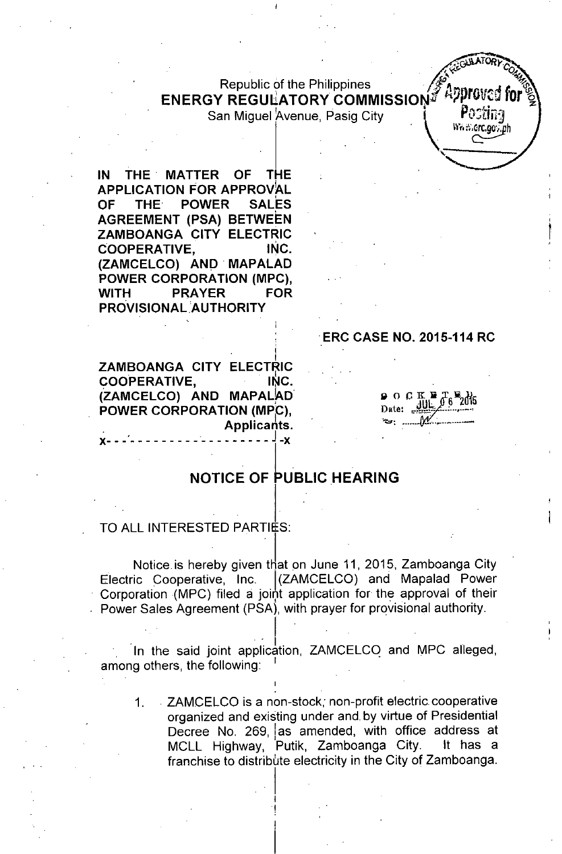# Republic of the Philippines **1998**<br>PECULATORY COMMISSION APPROVED ENERGY REGULATORY COMMISSION

San Miguel Avenue, Pasig City

 $\mathcal{L}$  . The contract of  $\mathcal{L}$  ,  $\mathcal{L}$ 

IN THE' MATTER OF THE APPLICATION FOR APPROVAL<br>OF THE POWER SALES OF THE POWER **AGREEMENT (PSA) BETWEEN** ZAMBOANGA CITY ELECTRIC COOPERATIVE, INC. (ZAMCELCO) AND' MAPALAD POWER CORPORATION (MPC), WITH PRAYER FOR PROVISIONAL AUTHORITY

### 'ERC CASE NO. 2015-114 RC

 $\frac{1}{2}$  **CALLATORY**  $\frac{1}{2}$ 

Pactina

 $\mathsf{Wn}$ :  $\mathsf{Grc}$ ,  $\mathsf{a}\mathsf{o}$  ,  $\mathsf{a}\mathsf{h}$ 

'"

I ZAMBOANGA CITY ELECTRIO COOPERATIVE, INC. (ZAMCELCO) AND MAPALAD POWER CORPORATION (MPC), . Applicants.  $\bullet$  , In the set of the set of the set of the set of the set of the set of the set of the set of the set of the set of the set of the set of the set of the set of the set of the set of the set of the set of the set of th x- - - - - - - - - - - - - - - - - - - - - - -x

 $\circ$  O C K H  $T_6$   $\frac{W_2}{100}$ Date:

## NOTICE OF PUBLIC HEARING

#### TO ALL INTERESTED PARTIES:

Notice is hereby given that on June 11, 2015, Zamboanga City Electric Cooperative, Inc. (ZAMCELCO) and Mapalad Power Corporation (MPC) filed a joint application for the approval of their Power Sales Agreement (PSA), with prayer for provisional authority.

In the said joint application, ZAMCELCO and MPC alleged, among others, the following:

I

 $\mathbb{E}\left[\mathbf{1},\mathbf{1}\right]$ 

I !

1. ZAMCELCO is a non-stock; non-profit electric cooperative organized and existing under and by virtue of Presidential Decree No. 269, as amended, with office address at MCLL Highway, Putik, Zamboanga City. It has a franchise to distribute electricity in the City of Zamboanga.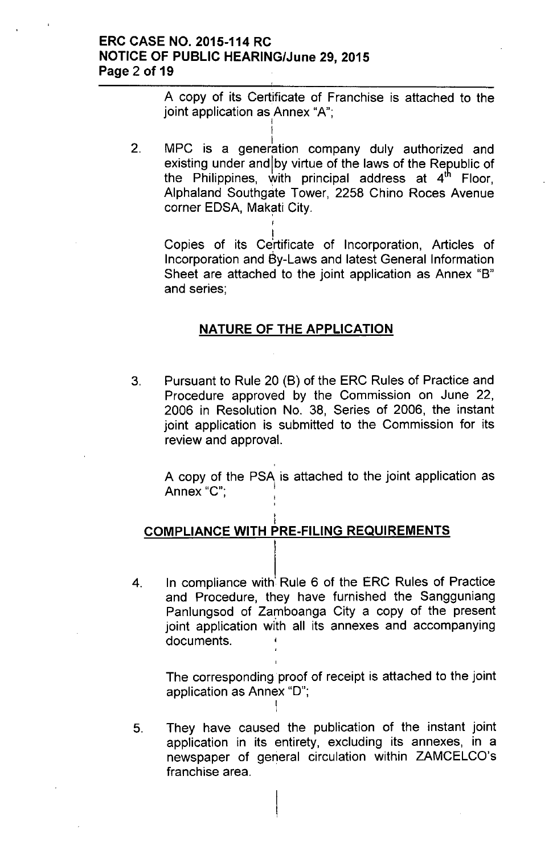## ERC CASE NO. 2015-114 RC NOTICE OF PUBLIC HEARING/June 29,2015 Page 2 of 19

A copy of its Certificate of Franchise is attached to the joint application as Annex "A"; I

2. MPC is a generation company duly authorized and existing under and by virtue of the laws of the Republic of the Philippines, with principal address at 4<sup>th</sup> Floor, Alphaland Southgate Tower, 2258 Chino Roces Avenue corner EDSA, Makati City.

I

I Copies of its Certificate of Incorporation, Articles of Incorporation and 6y-Laws and latest General Information Sheet are attached to the joint application as Annex "8" and series;

## NATURE OF THE APPLICATION

3, Pursuant to Rule 20 (8) of the ERC Rules of Practice and Procedure approved by the Commission on June 22, 2006 in Resolution No. 38, Series of 2006, the instant joint application is submitted to the Commission for its review and approval.

A copy of the PSA is attached to the joint application as Annex "C": , Indian State ,

#### I COMPLIANCE WITH PRE-FILING REQUIREMENTS

,

i

4. In compliance with' Rule 6 of the ERC Rules of Practice and Procedure, they have furnished the Sangguniang Panlungsod of Zamboanga City a copy of the present joint application with all its annexes and accompanying documents.

The corresponding proof of receipt is attached to the joint application as Annex "D"; I

5. They have caused the publication of the instant joint application in its entirety, excluding its annexes, in a newspaper of general circulation within ZAMCELCO's franchise area.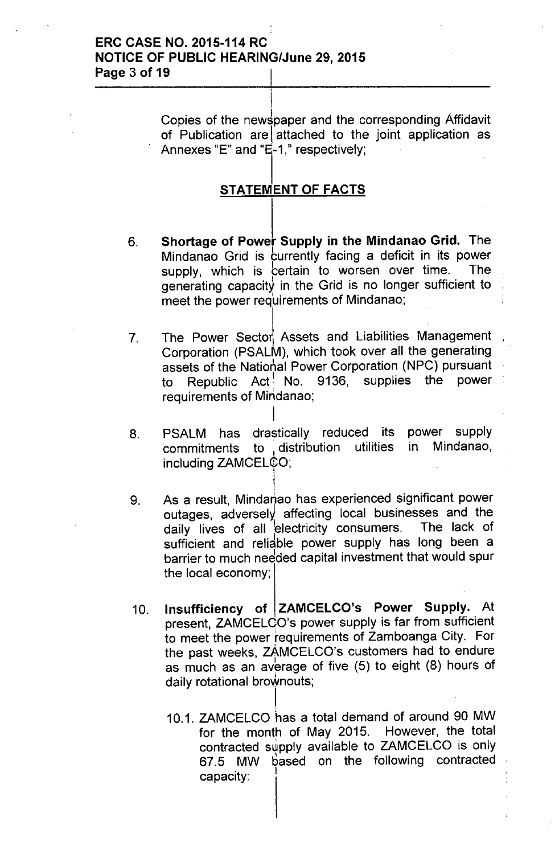## ERC CASE NO. 2015-114 RC NOTICE OF PUBLIC HEARING/June 29, 2015 Page 3 of 19

Copies of the newspaper and the corresponding Affidavit of Publication are attached to the joint application as Annexes "E" and " $E - 1$ ," respectively;

## STATEMENT OF FACTS

I

- 6. Shortage of Power Supply in the Mindanao Grid. The Mindanao Grid is currently facing a deficit in its power supply, which is certain to worsen over time. The generating capacity in the Grid is no longer sufficient to meet the power requirements of Mindanao;
- 7. The Power Sector Assets and Liabilities Management Corporation (PSALM), which took over all the generating assets of the National Power Corporation (NPC) pursuant to Republic Act<sup>1</sup> No. 9136, supplies the power requirements of Mindanao;
- 8. PSALM has drastically reduced its power supply<br>commitments to distribution utilities in Mindanao. commitments to distribution utilities in including ZAMCELCO;

i

- I 9. As a result, Mindanao has experienced significant power outages, adversely affecting local businesses and the daily lives of all 'electricity consumers. The lack of sufficient and reliable power supply has long been a barrier to much needed capital investment that would spur the local economy;
- 10. Insufficiency of ZAMCELCO's Power Supply. At present, ZAMCELCO's power supply is far from sufficient to meet the power requirements of Zamboanga City. For the past weeks, zAMCELCO's customers had to endure as much as an average of five (5) to eight (8) hours of daily rotational broWnouts;

I

10.1. ZAMCELCO has a total demand of around 90 MW for the month of May 2015. However, the total contracted supply available to ZAMCELCO is only 67.5 MW based on the following contracted capacity: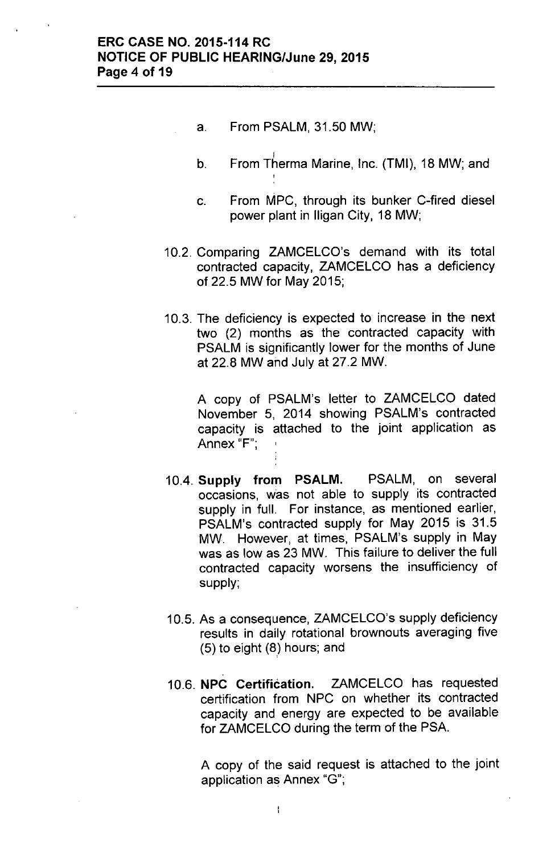- a. From PSALM, 31.50 MW;
- I b. From Therma Marine, Inc. (TMI), 18 MW; and ,
- c. From MPC, through its bunker C-fired diesel power plant in lIigan City, 18 MW;
- 10.2. Comparing ZAMCELCO's demand with its total contracted capacity, ZAMCELCO has a deficiency of 22.5 MW for May 2015;
- 10.3. The deficiency is expected to increase in the next two (2) months as the contracted capacity with PSALM is significantly lower for the months of June at 22.8 MW and July at 27.2 MW.

A copy of PSALM's letter to ZAMCELCO dated November 5, 2014 showing PSALM's contracted capacity is attached to the joint application as Annex "F";

- 10.4. Supply from PSALM. PSALM, on several occasions, was not able to supply its contracted supply in full. For instance, as mentioned earlier, PSALM's contracted supply for May 2015 is 31.5 MW. However, at times, PSALM's supply in May was as low as 23 MW. This failure to deliver the full contracted capacity worsens the insufficiency of supply;
- 10.5. As a consequence, ZAMCELCO's supply deficiency results in daily rotational brownouts averaging five (5) to eight (8) hours; and
- 10.6. NPC Certification. ZAMCELCO has requested certification from NPC on whether its contracted capacity and energy are expected to be available for ZAMCELCO during the term of the PSA.

A copy of the said request is attached to the joint application as Annex "G";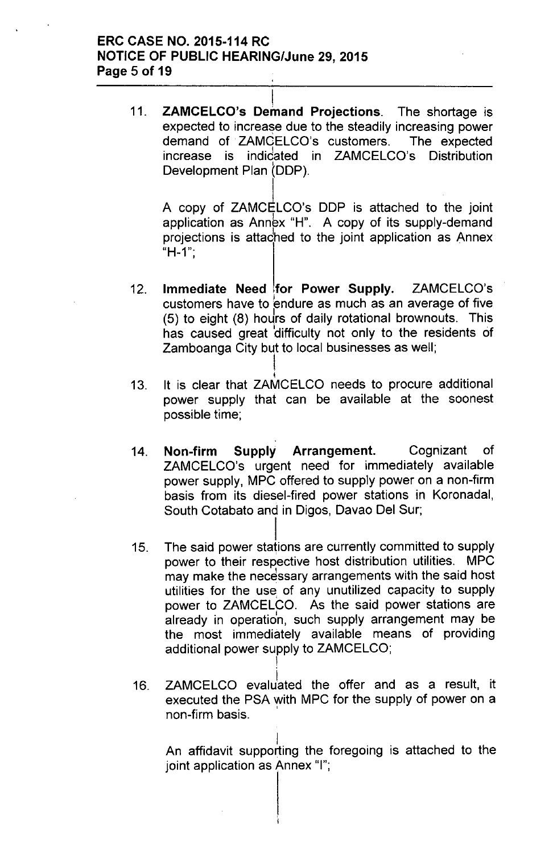## ERC CASE NO. 2015-114 RC NOTICE OF PUBLIC HEARING/June 29,2015 Page 5 of 19

I 11. ZAMCELCO's Demand Projections. The shortage is expected to increase due to the steadily increasing power demand of. ZAMCELCO's customers. The expected . I Increase is indidated in ZAMCELCO's Distribution meresse<br>Development Plan (DDP).

 $\mathsf{I}.$ A copy of ZAMCELCO's DDP is attached to the joint application as Annex "H". A copy of its supply-demand projections is attached to the joint application as Annex  $H-1$ ";

- 12. Immediate Need for Power Supply. ZAMCELCO's customers have to endure as much as an average of five  $(5)$  to eight  $(8)$  hours of daily rotational brownouts. This has caused great difficulty not only to the residents of Zamboanga City but to local businesses as well;
- I 13. It is clear that ZAMCELCO needs to procure additional power supply that can be available at the soonest possible time;

I

- 14. Non-firm Supply Arrangement. Cognizant of ZAMCELCO's urgent need for immediately available power supply, MPC offered to supply power on a non-firm basis from its diesel-fired power stations in Koronadal, South Cotabato and in Digos, Davao Del Sur;
- l. 15. The said power stations are currently committed to supply power to their respective host distribution utilities. MPC may make the necessary arrangements with the said host utilities for the use, of any unutilized capacity to supply power to ZAMCELCO. As the said power stations are already in operation, such supply arrangement may be the most immediately available means of providing additional power supply to ZAMCELCO; I
- 16. ZAMCELCO evaluated the offer and as a result, it executed the PSA with MPC for the supply of power on a non-firm basis. '

I An affidavit supporting the foregoing is attached to the joint application as Annex "I";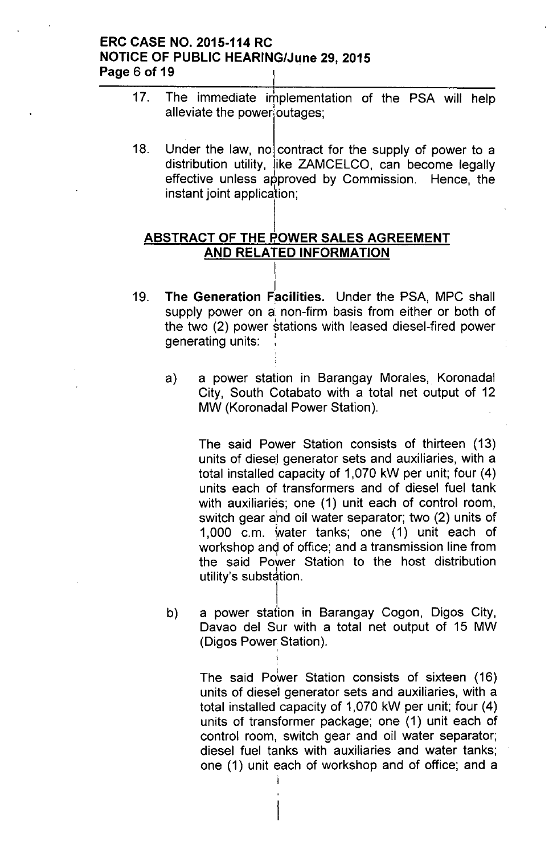## ERC CASE NO. 2015-114 RC NOTICE OF PUBLIC HEARING/June 29,2015 Page 6 of 19

- 17. The immediate irhplementation of the PSA will help alleviate the power outages;
- 18. Under the law, no contract for the supply of power to a distribution utility, like ZAMCELCO, can become legally effective unless approved by Commission. Hence, the instant joint application;

## ABSTRACT OF THE POWER SALES AGREEMENT AND RELATED INFORMATION

I

- I 19. The Generation Facilities. Under the PSA, MPC shall supply power on a non-firm basis from either or both of the two (2) power stations with leased diesel-fired power generating units:
	- a) a power station in Barangay Morales, Koronadal City, South Cotabato with a total net output of 12 MW (Koronadal Power Station).

The said Power Station consists of thirteen (13) units of diesel generator sets and auxiliaries, with a total installed capacity of 1,070 kW per unit; four (4) units each of transformers and of diesel fuel tank with auxiliaries; one (1) unit each of control room, switch gear ahd oil water separator; two (2) units of 1,000 c.m. water tanks; one (1) unit each of workshop and of office; and a transmission line from the said Power Station to the host distribution  $utility's$  substation.

b) a power station in Barangay Cogon, Digos City, Davao del Sur with a total net output of 15 MW (Digos Power<sub>,</sub> Station)

> The said Power Station consists of sixteen (16) units of diese'l generator sets and auxiliaries, with a total installed capacity of 1,070 kW per unit; four (4) units of transformer package; one (1) unit each of control room, switch gear and oil water separator; diesel fuel tanks with auxiliaries and water tanks; one (1) unit each of workshop and of office; and a

> > i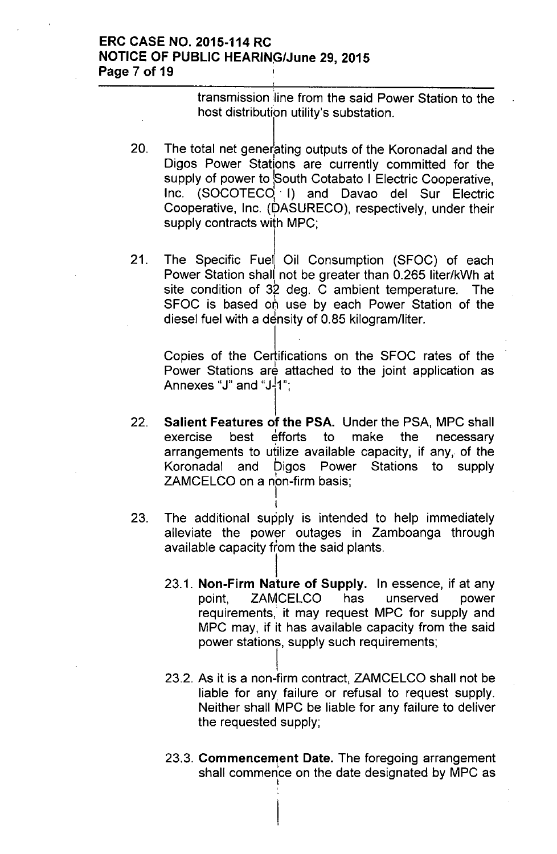## ERC CASE NO. 2015-114 RC **NOTICE OF PUBLIC HEARING/June 29, 2015** Page 7 of 19

transmission 'line from the said Power Station to the host distribution utility's substation.

- 20. The total net generating outputs of the Koronadal and the Digos Power Stations are currently committed for the supply of power to South Cotabato I Electric Cooperative, Inc. (SOCOTECq' I) and Davao del Sur Electric Cooperative, Inc. (DASURECO), respectively, under their I supply contracts with MPC;
- 21. The Specific Fuel Oil Consumption (SFOC) of each Power Station shall not be greater than 0.265 liter/kWh at I site condition of 32 deg. C ambient temperature. The SFOC is based on use by each Power Station of the diesel fuel with a density of 0.85 kilogram/liter.

Copies of the Certifications on the SFOC rates of the Power Stations are attached to the joint application as Annexes "J" and "J-¦1'  $\vert$ ' '

- 22. Salient Features of the PSA. Under the PSA, MPC shall exercise best efforts to make the necessary arrangements to utilize available capacity, if any, of the Koronadal and Digos Power Stations to supply Koronadal and Digos Power ZAMCELCO on a non-firm basis;
- 23. The additional supply is intended to help immediately alleviate the power outages in Zamboanga through available capacity from the said plants.

- I 23.1. Non-Firm Nature of Supply. In essence, if at any point, ZAMCELCO has unserved power requirements, it may request MPC for supply and MPC may, if it has available capacity from the said power stations, supply such requirements;
- I 23.2. As it is a non-firm contract, ZAMCELCO shall not be liable for any failure or refusal to request supply. Neither shall MPC be liable for any failure to deliver the requested supply;
- 23.3. Commencement Date. The foregoing arrangement shall commence on the date designated by MPC as I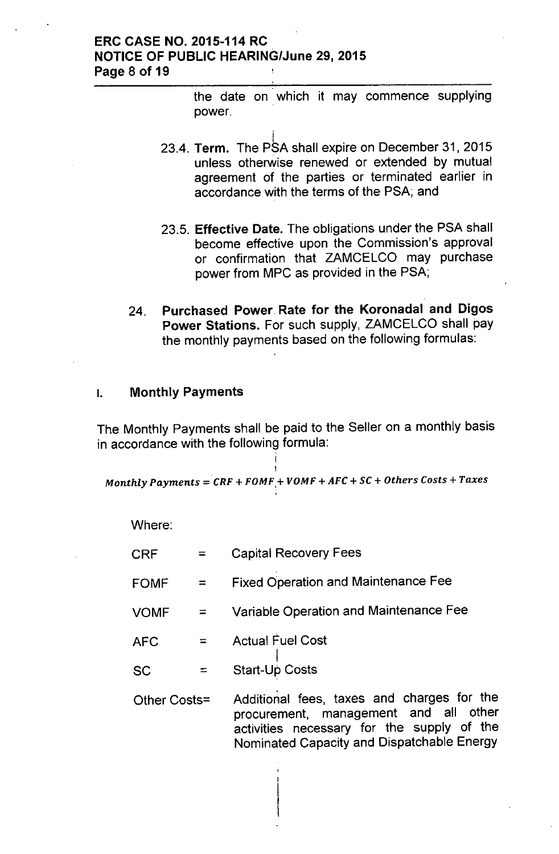## ERC CASE NO. 2015-114 RC NOTICE OF PUBLIC HEARING/June 29,2015 Page 8 of 19

the date on which it may commence supplying power.

- i 23.4. **Term.** The PSA shall expire on December 31, 201 unless otherwise renewed or extended by mutual agreement of the parties or terminated earlier in accordance with the terms of the PSA; and
- 23.5. Effective Date. The obligations under the PSA shall become effective upon the Commission's approval or confirmation that ZAMCELCO may purchase power from MPC as provided in the PSA;
- 24. Purchased Power Rate for the Koronadal and Digos Power Stations. For such supply, ZAMCELCO shall pay the monthly payments based on the following formulas:

## I. Monthly Payments

The Monthly Payments shall be paid to the Seller on a monthly basis in accordance with the following formula:

j<br>1  $\mathbf i$ *Monthly Payments* = *CRF* + *FOMF,+ VOMF* + *AFC* + *sc* + *Others Costs* + *Taxes*

Where:

| <b>CRF</b>   | $=$      | <b>Capital Recovery Fees</b>                                                                                                                                                    |  |  |  |
|--------------|----------|---------------------------------------------------------------------------------------------------------------------------------------------------------------------------------|--|--|--|
| <b>FOMF</b>  |          | <b>Fixed Operation and Maintenance Fee</b>                                                                                                                                      |  |  |  |
| <b>VOMF</b>  |          | Variable Operation and Maintenance Fee                                                                                                                                          |  |  |  |
| <b>AFC</b>   | $\equiv$ | <b>Actual Fuel Cost</b>                                                                                                                                                         |  |  |  |
| <b>SC</b>    |          | <b>Start-Up Costs</b>                                                                                                                                                           |  |  |  |
| Other Costs= |          | Additional fees, taxes and charges for the<br>procurement, management and all other<br>activities necessary for the supply of the<br>Nominated Capacity and Dispatchable Energy |  |  |  |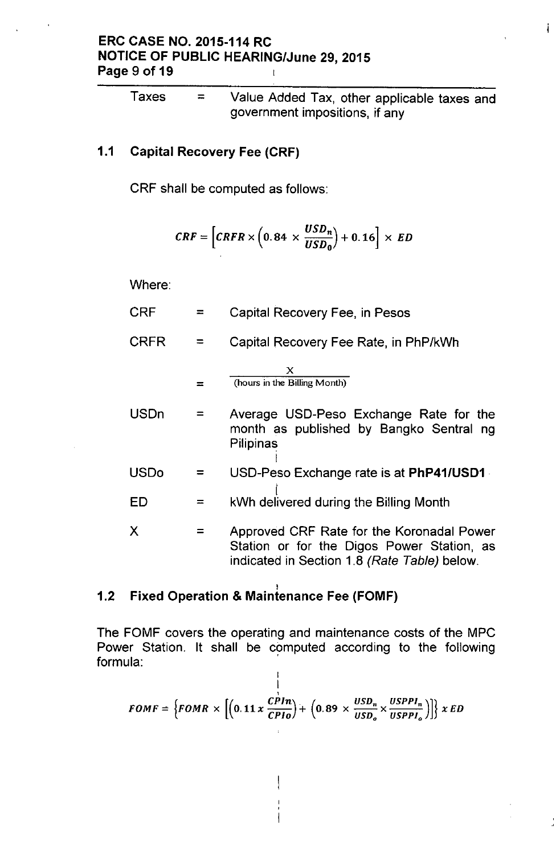#### ERC CASE NO. 2015-114 RC NOTICE OF PUBLIC HEARING/June 29, 2015 Page 9 of 19  $\mathbf{t}$

Taxes  $=$  Value Added Tax, other applicable taxes and government impositions, if any

Å.

## 1.1 Capital Recovery Fee (CRF)

CRF shall be computed as follows:

$$
CRF = \left[CRFR \times \left(0.84 \times \frac{USD_n}{USD_0}\right) + 0.16\right] \times ED
$$

Where:

| <b>CRF</b>  |          | Capital Recovery Fee, in Pesos                                                                                                          |  |  |  |
|-------------|----------|-----------------------------------------------------------------------------------------------------------------------------------------|--|--|--|
| <b>CRFR</b> |          | Capital Recovery Fee Rate, in PhP/kWh                                                                                                   |  |  |  |
|             |          | x<br>(hours in the Billing Month)                                                                                                       |  |  |  |
| <b>USDn</b> | $\equiv$ | Average USD-Peso Exchange Rate for the<br>month as published by Bangko Sentral ng<br>Pilipinas                                          |  |  |  |
| USDo        |          | USD-Peso Exchange rate is at PhP41/USD1                                                                                                 |  |  |  |
| ED          | $\equiv$ | kWh delivered during the Billing Month                                                                                                  |  |  |  |
| Χ           |          | Approved CRF Rate for the Koronadal Power<br>Station or for the Digos Power Station, as<br>indicated in Section 1.8 (Rate Table) below. |  |  |  |

#### I 1.2 Fixed Operation & Maintenance Fee (FOMF)

The FOMF covers the operating and maintenance costs of the MPC Power Station. It shall be computed according to the following formula: .  $\overline{1}$ 

$$
FOMF = \left\{FOMR \times \left[ \left(0.11 \times \frac{CPHn}{CPIO}\right) + \left(0.89 \times \frac{USD_n}{USD_o} \times \frac{USPPI_n}{USPPI_o}\right) \right] \right\} x ED
$$

 $\overline{\phantom{a}}$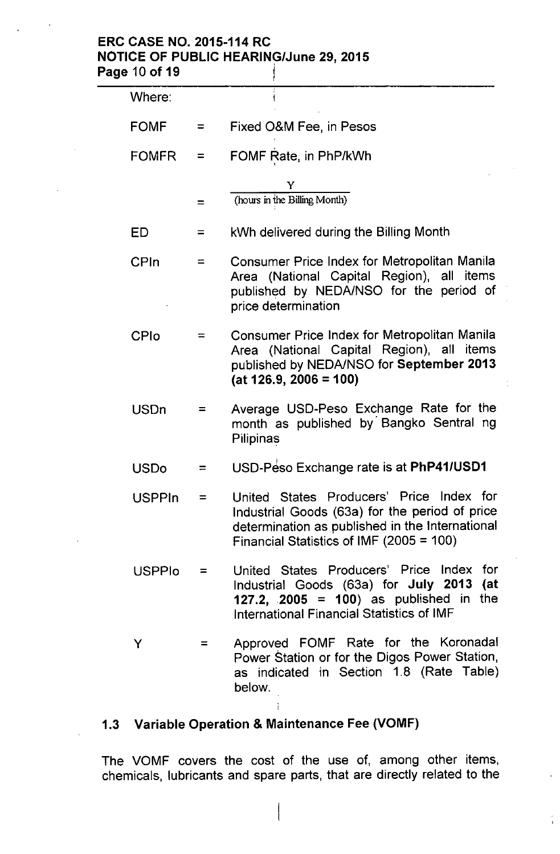## ERC CASE NO. 2015-114 RC NOTICE OF PUBLIC HEARING/June 29, 2015 Page 10 of 19 juil 19 juil 19 juil 19 juil 19 juil 19 juil 19 juil 19 juil 19 juil 19 juil 19 juil 19 juil 19 juil 19 juil 19 juil 19 juil 19 juil 19 juil 19 juil 19 juil 19 juil 19 juil 19 juil 19 juil 19 juil 19 juil 19

| Where:        |          |                                                                                                                                                                                           |  |  |  |  |
|---------------|----------|-------------------------------------------------------------------------------------------------------------------------------------------------------------------------------------------|--|--|--|--|
| <b>FOMF</b>   | $=$      | Fixed O&M Fee, in Pesos                                                                                                                                                                   |  |  |  |  |
| <b>FOMFR</b>  | $=$      | FOMF Rate, in PhP/kWh                                                                                                                                                                     |  |  |  |  |
|               | $\equiv$ | Y<br>(hours in the Billing Month)                                                                                                                                                         |  |  |  |  |
| ED            | $=$      | kWh delivered during the Billing Month                                                                                                                                                    |  |  |  |  |
| CPIn          | ⋍        | Consumer Price Index for Metropolitan Manila<br>Area (National Capital Region), all items<br>published by NEDA/NSO for the period of<br>price determination                               |  |  |  |  |
| <b>CPIo</b>   |          | Consumer Price Index for Metropolitan Manila<br>Area (National Capital Region), all items<br>published by NEDA/NSO for September 2013<br>$(at 126.9, 2006 = 100)$                         |  |  |  |  |
| <b>USDn</b>   | =        | Average USD-Peso Exchange Rate for the<br>month as published by Bangko Sentral ng<br>Pilipinas                                                                                            |  |  |  |  |
| <b>USDo</b>   | ⋍        | USD-Peso Exchange rate is at PhP41/USD1                                                                                                                                                   |  |  |  |  |
| <b>USPPIn</b> | $=$      | United States Producers' Price Index for<br>Industrial Goods (63a) for the period of price<br>determination as published in the International<br>Financial Statistics of IMF (2005 = 100) |  |  |  |  |
| <b>USPPIo</b> | $=$      | United States Producers' Price Index for<br>Industrial Goods (63a) for July 2013 (at<br>127.2, 2005 = 100) as published in the<br>International Financial Statistics of IMF               |  |  |  |  |
| Y             |          | Approved FOMF Rate for the Koronadal<br>Power Station or for the Digos Power Station,<br>as indicated in Section 1.8 (Rate Table)<br>below.                                               |  |  |  |  |

# 1.3 Variable Operation & Maintenance Fee (VOMF)

ì

 $\overline{\mathcal{I}}$ 

The VOMF covers the cost of the use of, among other items, chemicals, lubricants and spare parts, that are directly related to the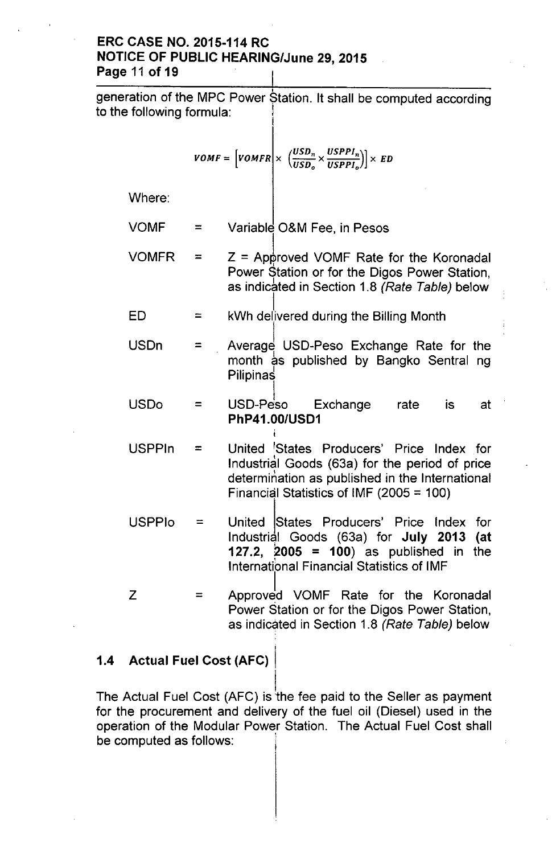## ERC CASE NO. 2015-114 RC NOTICE OF PUBLIC HEARING/June 29, 2015 Page 11 of 19

| to the following formula: |            | generation of the MPC Power Station. It shall be computed according                                                                                                                       |
|---------------------------|------------|-------------------------------------------------------------------------------------------------------------------------------------------------------------------------------------------|
|                           |            | $VOMF = \left[ VOMFR \right] \times \left( \frac{USD_n}{USD_o} \times \frac{USPPI_n}{USPPI_o} \right) \times ED$                                                                          |
| Where:                    |            |                                                                                                                                                                                           |
| <b>VOMF</b>               | $=$        | Variable O&M Fee, in Pesos                                                                                                                                                                |
| <b>VOMFR</b>              | $=$        | $Z =$ Approved VOMF Rate for the Koronadal<br>Power Station or for the Digos Power Station,<br>as indicated in Section 1.8 (Rate Table) below                                             |
| ED                        | $\equiv$   | kWh delivered during the Billing Month                                                                                                                                                    |
| <b>USDn</b>               | $=$ $\sim$ | Average USD-Peso Exchange Rate for the<br>month as published by Bangko Sentral ng<br>Pilipinas                                                                                            |
| <b>USDo</b>               | =          | USD-Peso Exchange<br>rate is<br>at<br>PhP41.00/USD1                                                                                                                                       |
| <b>USPPIn</b>             | $\equiv$   | United States Producers' Price Index for<br>Industrial Goods (63a) for the period of price<br>determination as published in the International<br>Financial Statistics of IMF (2005 = 100) |
| <b>USPPIo</b>             | $=$ $-$    | United States Producers' Price Index for<br>Industrial Goods (63a) for July 2013 (at<br>127.2, 2005 = 100) as published in the<br><b>International Financial Statistics of IMF</b>        |
| Z                         | ᆖ          | Approved VOMF Rate for the Koronadal<br>Power Station or for the Digos Power Station,<br>as indicated in Section 1.8 (Rate Table) below                                                   |

# 1.4 Actual Fuel Cost (AFC)

l. The Actual Fuel Cost (AFC) is the fee paid to the Seller as payment for the procurement and delivery of the fuel oil (Diesel) used in the operation of the Modular Power Station. The Actual Fuel Cost shall be computed as follows: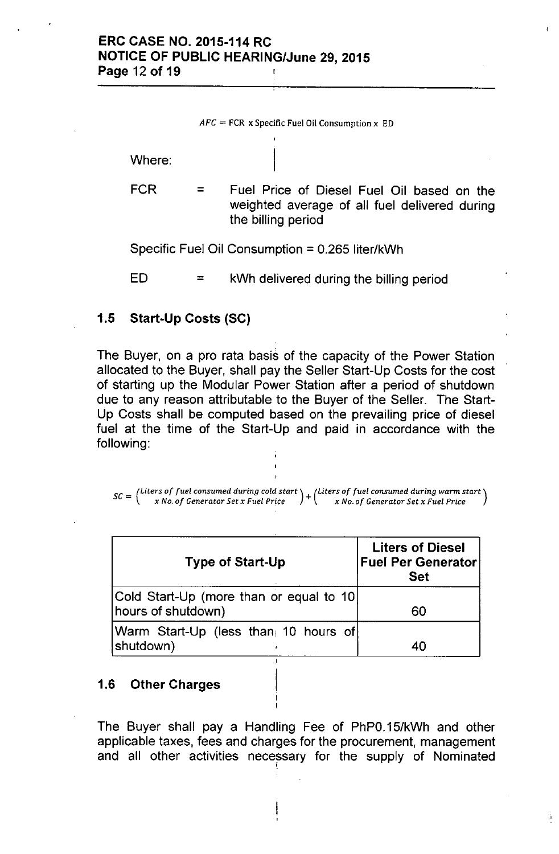Where:

FCR = Fuel Price of Diesel Fuel Oil based on the weighted average of all fuel delivered during the billing period

Specific Fuel Oil Consumption = 0.265 liter/kWh

 $ED =$  kWh delivered during the billing period

## 1.5 Start-Up Costs (SC)

The Buyer, on a pro rata basis of the capacity of the Power Station allocated to the Buyer, shall pay the Seller Start-Up Costs for the cost of starting up the Modular Power Station after a period of shutdown due to any reason attributable to the Buyer of the Seller. The Start-Up Costs shall be computed based on the prevailing price of diesel fuel at the time of the Start-Up and paid in accordance with the following:

 $\mathbf{c} \mathbf{c}$  *– (Liters of fuel consumed during cold start*  $\mathbf{c}$  *Liters of fuel consumed during warm start - x No. of Generator Set x Fuel Price* + *x No. of Generator Set x Fuel Price*

| <b>Type of Start-Up</b>                                       | <b>Liters of Diesel</b><br><b>Fuel Per Generator</b><br><b>Set</b> |
|---------------------------------------------------------------|--------------------------------------------------------------------|
| Cold Start-Up (more than or equal to 10<br>hours of shutdown) | 60                                                                 |
| Warm Start-Up (less than 10 hours of<br>shutdown)             | 40                                                                 |

### 1.6 Other Charges

The Buyer shall pay a Handling Fee of PhPO.15/kWh and other applicable taxes, fees and charges for the procurement, management and all other activities necessary for the supply of Nominated

Ì.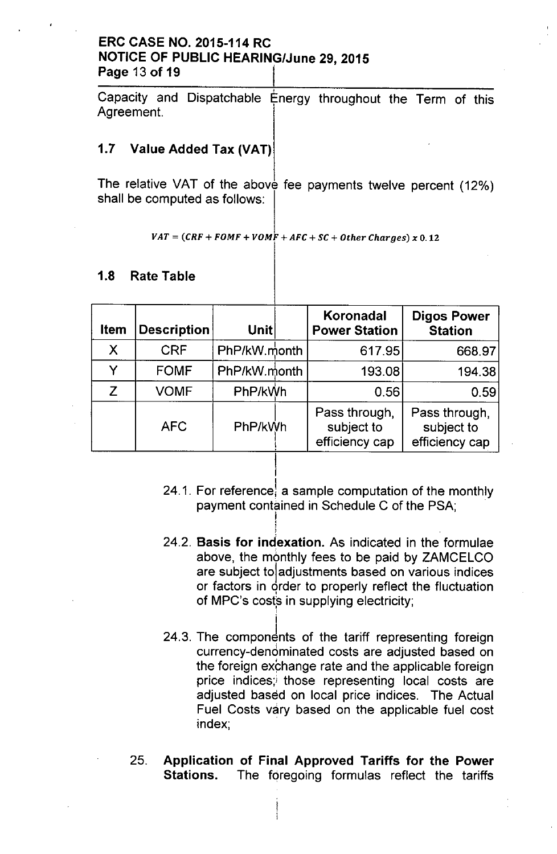## ERC CASE NO. 2015-114 RC NOTICE OF PUBLIC HEARING/June 29, 2015 Page 13 of 19

Capacity and Dispatchable Energy throughout the Term of this Agreement.

## 1.7 Value Added Tax (VAT)

The relative VAT of the above fee payments twelve percent (12%) shall be computed as follows:

$$
VAT = (CRF + FOMF + VOMF + AFC + SC + Other charges) \times 0.12
$$

## 1.8 Rate Table

| <b>Item</b> | <b>Description</b> | Unitl        | Koronadal<br><b>Power Station</b>             | <b>Digos Power</b><br><b>Station</b>          |
|-------------|--------------------|--------------|-----------------------------------------------|-----------------------------------------------|
| X           | <b>CRF</b>         | PhP/kW month | 617.95                                        | 668.97                                        |
| v           | <b>FOMF</b>        | PhP/kW.month | 193.08                                        | 194.38                                        |
| Z           | <b>VOMF</b>        | PhP/kWh      | 0.56                                          | 0.59                                          |
|             | <b>AFC</b>         | PhP/kWh      | Pass through,<br>subject to<br>efficiency cap | Pass through,<br>subject to<br>efficiency cap |

I

!<br>!

- 24.1. For reference, a sample computation of the monthly payment contained in Schedule C of the PSA; I,
- 24.2. Basis for indexation. As indicated in the formulae above, the monthly fees to be paid by ZAMCELCO are subject toladjustments based on various indices or factors in order to properly reflect the fluctuatior of MPC's costs in supplying electricity;
- 24.3. The components of the tariff representing foreign currency-denominated costs are adjusted based on the foreign exchange rate and the applicable foreign price indices; those representing local costs are adjusted based on local price indices. The Actual Fuel Costs vary based on the applicable fuel cost index;
- 25. Application of Final Approved Tariffs for the Power Stations. The foregoing formulas reflect the tariffs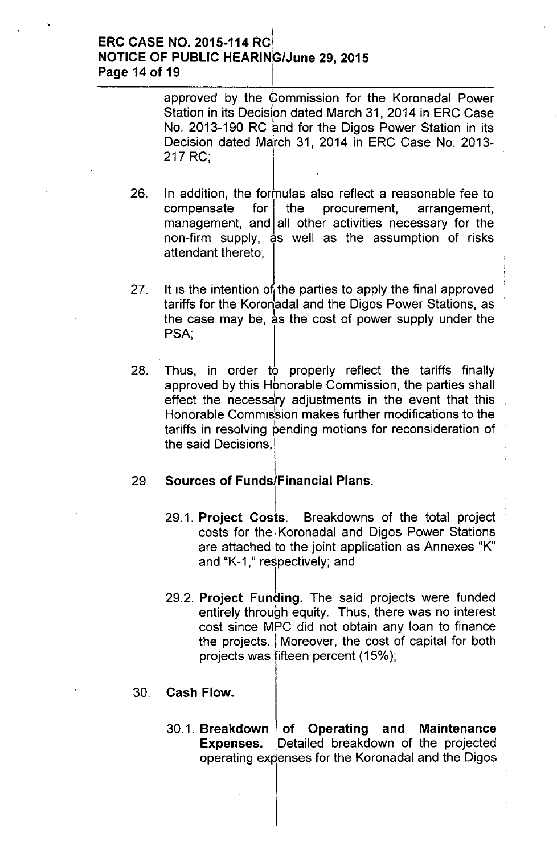#### I ERC CASE NO. 2015-114 RCI NOTICE OF PUBLIC HEARING/June 29, 2015 Page 14 of 19

approved by the Commission for the Koronadal Power Station in its Decision dated March 31, 2014 in ERC Case No. 2013-190 RC and for the Digos Power Station in its Decision dated March 31, 2014 in ERC Case No. 2013-217 RC;

- 26. In addition, the formulas also reflect a reasonable fee to  $compensate$  for the procurement, arrangement, management, and all other activities necessary for the non-firm supply, as well as the assumption of risks attendant thereto;
- 27. It is the intention of the parties to apply the final approved tariffs for the Koronadal and the Digos Power Stations, as the case may be, as the cost of power supply under the PSA:
- 28. Thus, in order to properly reflect the tariffs finally approved by this Hbnorable Commission, the parties shall effect the necessary adjustments in the event that this Honorable Commission makes further modifications to the tariffs in resolving pending motions for reconsideration of the said Decisions;

## 29. Sources of Funds/Financial Plans.

29.1. Project Costs. Breakdowns of the total project costs for the. Koronadal and Digos Power Stations are attached to the joint application as Annexes "K" and "K-1," respectively; and

 $\mathbf{I} = \mathbf{I}$ 

- 29.2. Project Funding. The said projects were funded entirely through equity. Thus, there was no interest cost since MPC did not obtain any loan to finance the projects. I Moreover, the cost of capital for both projects was fifteen percent (15%);
- 30. Cash Flow.
	- 30.1. Breakdown  $\frac{1}{2}$  of Operating and Maintenance Expenses. Detailed breakdown of the projected operating expenses for the Koronadal and the Digos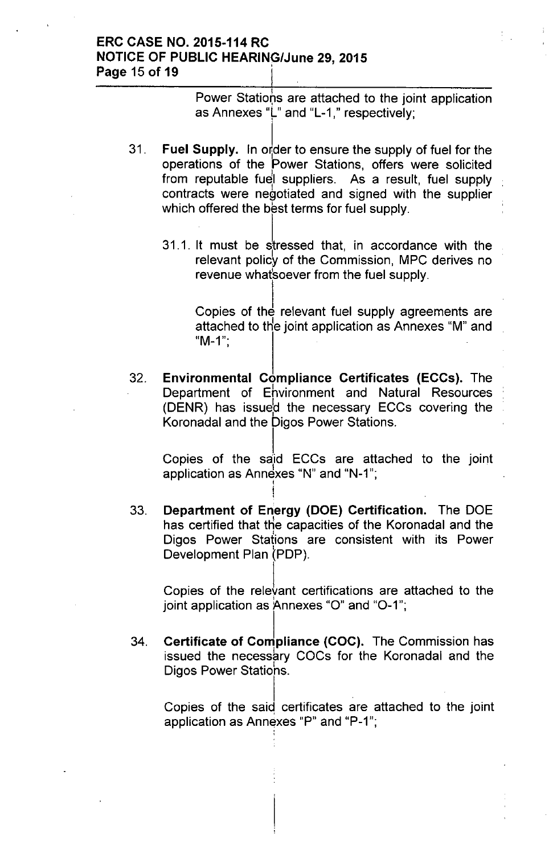## ERC CASE NO. 2015-114 RC NOTICE OF PUBLIC HEARING/June 29, 2015 Page 15 of 19

I Power Stations are attached to the joint applicatior as Annexes "L" and "L-1," respectively;

- 31.  $\,$  Fuel Supply. In order to ensure the supply of fuel for the operations of the Power Stations, offers were solicited from reputable fuel suppliers. As a result, fuel supply contracts were negotiated and signed with the supplier which offered the best terms for fuel supply.
	- 31.1. It must be stressed that, in accordance with the relevant policy of the Commission, MPC derives no revenue what soever from the fuel supply.

Copies of the relevant fuel supply agreements are attached to the joint application as Annexes "M" and  $M-1$ ";

32. Environmental Compliance Certificates (ECCs). The Department of Ehvironment and Natural Resources (DENR) has issue:d the necessary ECCs covering the Koronadal and the Digos Power Stations.

Copies of the said ECCs are attached to the join application as Annexes "N" and "N-1";

33. Department of Energy (DOE) Certification. The DOE has certified that the capacities of the Koronadal and the Digos Power Stations are consistent with its Power Development Plan (PDP).

! I

Copies of the rele $\operatorname{\dot{}}$ ant certifications are attached to the joint application as Annexes "0" and "0-1";

34. Certificate of Compliance (COC). The Commission has issued the necessary COCs for the Koronadal and the Digos Power Statiohs.

Copies of the said certificates are attached to the joint application as Annexes "P" and "P-1"; ,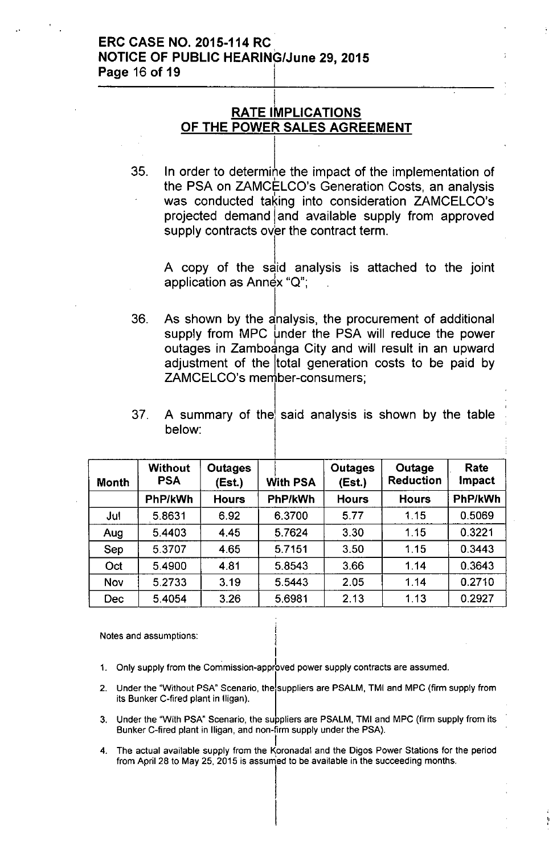### ERC CASE NO. 2015-114 RC NOTICE OF PUBLIC HEARING/June 29, 2015 Page 16 of 19

### I <u>RATE IMPLICATIONS</u> OF THE POWER SALES AGREEMENT

35.  $\;$  In order to determine the impact of the implementation of the PSA on ZAMCELCO's Generation Costs, an analysis was conducted taking into consideration ZAMCELCO's projected demand and available supply from approved supply contracts over the contract term.

A copy of the said analysis is attached to the joint application as Annex " $Q$ ";

As shown by the analysis, the procurement of additional supply from MPC under the PSA will reduce the power outages in Zamboanga City and will result in an upward adjustment of the total generation costs to be paid by ZAMCELCO's member-consumers; 36.

## 37. A summary of the said analysis is shown by the table below:

,

| <b>Month</b> | <b>Without</b><br><b>PSA</b> | <b>Outages</b><br>(Est.) | <b>With PSA</b> | <b>Outages</b><br>(Est.) | Outage<br><b>Reduction</b> | Rate<br><b>Impact</b> |
|--------------|------------------------------|--------------------------|-----------------|--------------------------|----------------------------|-----------------------|
|              | PhP/kWh                      | <b>Hours</b>             | PhP/kWh         | <b>Hours</b>             | <b>Hours</b>               | PhP/kWh               |
| Jul          | 5.8631                       | 6.92                     | 6.3700          | 5.77                     | 1.15                       | 0.5069                |
| Aug          | 5.4403                       | 4.45                     | 5.7624          | 3.30                     | 1.15                       | 0.3221                |
| Sep          | 5.3707                       | 4.65                     | 5.7151          | 3.50                     | 1.15                       | 0.3443                |
| Oct          | 5.4900                       | 4.81                     | 5.8543          | 3.66                     | 1.14                       | 0.3643                |
| Nov          | 5.2733                       | 3.19                     | 5.5443          | 2.05                     | 1.14                       | 0.2710                |
| <b>Dec</b>   | 5.4054                       | 3.26                     | 5.6981          | 2.13                     | 1.13                       | 0.2927                |

Notes and assumptions:

I 1. Only supply from the Commission-apprbved power supply contracts are assumed.

- 2. Under the "Without PSA" Scenario, the suppliers are PSALM, TMI and MPC (firm supply from its Bunker C-fired plant in lIigan).
- 3. Under the "With PSA" Scenario, the suppliers are PSALM, TMI and MPC (firm supply from its Bunker C-fired plant in lIigan, and non-firm supply under the PSA).
- I 4. The actual available supply from the Koronadal and the Digos Power Stations for the period from April 28 to May 25, 2015 is assurned to be available in the succeeding months.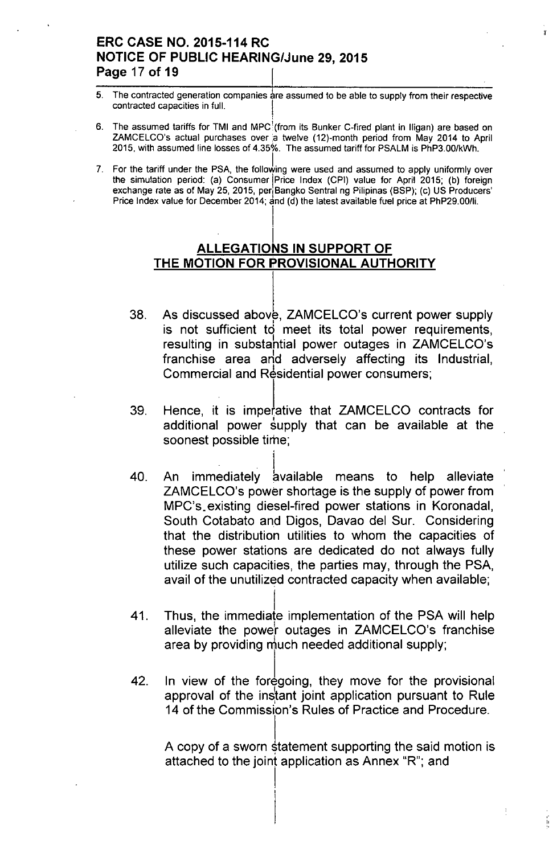## **ERC CASE NO. 2015-114 RC NOTICE OF PUBLIC HEARING/June 29, 2015 Page 17 of 19** I

5. The contracted generation companies are assumed to be able to supply from their respective contracted capacities in full.

 $\mathbf{r}$ 

- 6. The assumed tariffs for TMI and MPC { from its Bunker C-fired plant in Iligan) are based on ZAMCELCO's actual purchases over a twelve (12)-month period from May 2014 to April 2015, with assumed line losses of 4.350/0.The assumed tariff for PSALM is PhP3.00/kWh.
- 7. For the tariff under the PSA, the following were used and assumed to apply uniformly over the simulation period: (a) Consumer Price Index (CPI) value for April 2015; (b) foreign exchange rate as of May 25, 2015, per<sub>i</sub>Bangko Sentral ng Pilipinas (BSP); (c) US Producers' Price Index value for December 2014; and (d) the latest available fuel price at PhP29.00/li.

# I **ALLEGATIONS IN SUPPORT OF THE MOTION FOR PROVISIONAL AUTHORITY**

I

- 38. As discussed above, ZAMCELCO's current power supply is not sufficient to meet its total power requirements, resulting in substahtial power outages in ZAMCELCO's franchise area arid adversely affecting its Industrial, Commercial and Residential power consumers;
- 39. Hence, it is imperative that ZAMCELCO contracts for additional power supply that can be available at the soonest possible time;
- 40. An immediately available means to help alleviate ZAMCELCO's power shortage is the supply of power from MPC's.existing diesel-fired power stations in Koronadal, South Cotabato and Digos, Davao del Sur. Considering that the distribution utilities to whom the capacities of these power stations are dedicated do not always fully utilize such capacities, the parties may, through the PSA, avail of the unutilized contracted capacity when available;
- 41. I Thus, the immediate implementation of the PSA will help alleviate the powe'r outages in ZAMCELCO's franchise area by providing  $\frac{1}{2}$  much needed additional supply;
- 42. In view of the foregoing, they move for the provisional approval of the instant joint application pursuant to Rule 14 of the Commission's Rules of Practice and Procedure.

I,

A copy of a sworn statement supporting the said motion is attached to the joint application as Annex "R"; and

ţ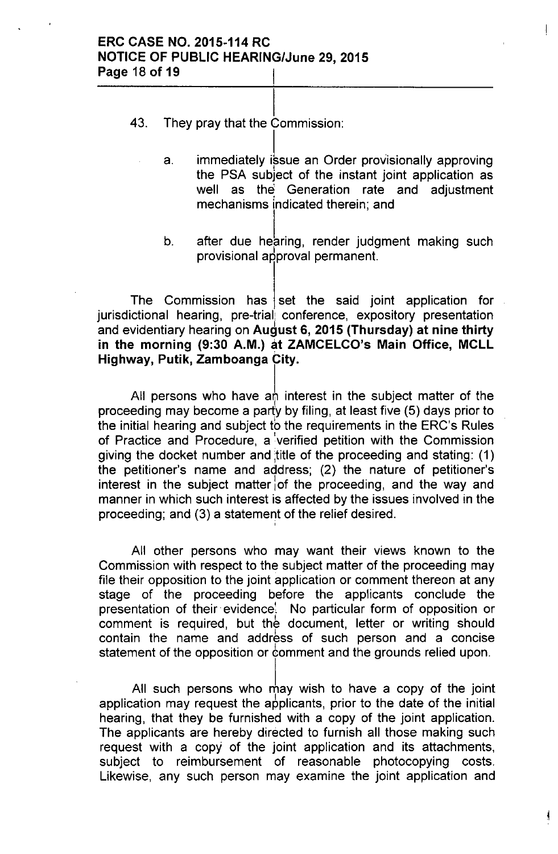- I 43. They pray that the Commission:
	- a. immediately issue an Order provisionally approving the PSA subject of the instant joint application as well as the Generation rate and adjustment mechanisms indicated therein; and

 $\left\vert \right\vert$ 

Ł

b. after due hearing, render judgment making such provisional approval permanent.

The Commission has set the said joint application for jurisdictional hearing, pre-trial conference, expository presentation and evidentiary hearing on August 6, 2015 (Thursday) at nine thirty in the morning (9:30 A.M.) at ZAMCELCO's Main Office, MCLL Highway, Putik, Zamboanga City.

All persons who have an interest in the subject matter of the proceeding may become a party by filing, at least five (5) days prior to the initial hearing and subject to the requirements in the ERC's Rules of Practice and Procedure, a 'verified petition with the Commission giving the docket number and title of the proceeding and stating: (1) the petitioner's name and address; (2) the nature of petitioner's interest in the subject matter of the proceeding, and the way and manner in which such interest is affected by the issues involved in the proceeding; and (3) a statement of the relief desired. ;

All other persons who may want their views known to the Commission with respect to the subject matter of the proceeding may file their opposition to the joint application or comment thereon at any stage of the proceeding before the applicants conclude the presentation of their evidence. No particular form of opposition or comment is required, but the document, letter or writing should contain the name and address of such person and a concise statement of the opposition or comment and the grounds relied upon.

All such persons who may wish to have a copy of the joint application may request the applicants, prior to the date of the initial hearing, that they be furnished with a copy of the joint application. The applicants are hereby directed to furnish all those making such request with a copy of the joint application and its attachments, subject to reimbursement of reasonable photocopying costs. Likewise, any such person may examine the joint application and